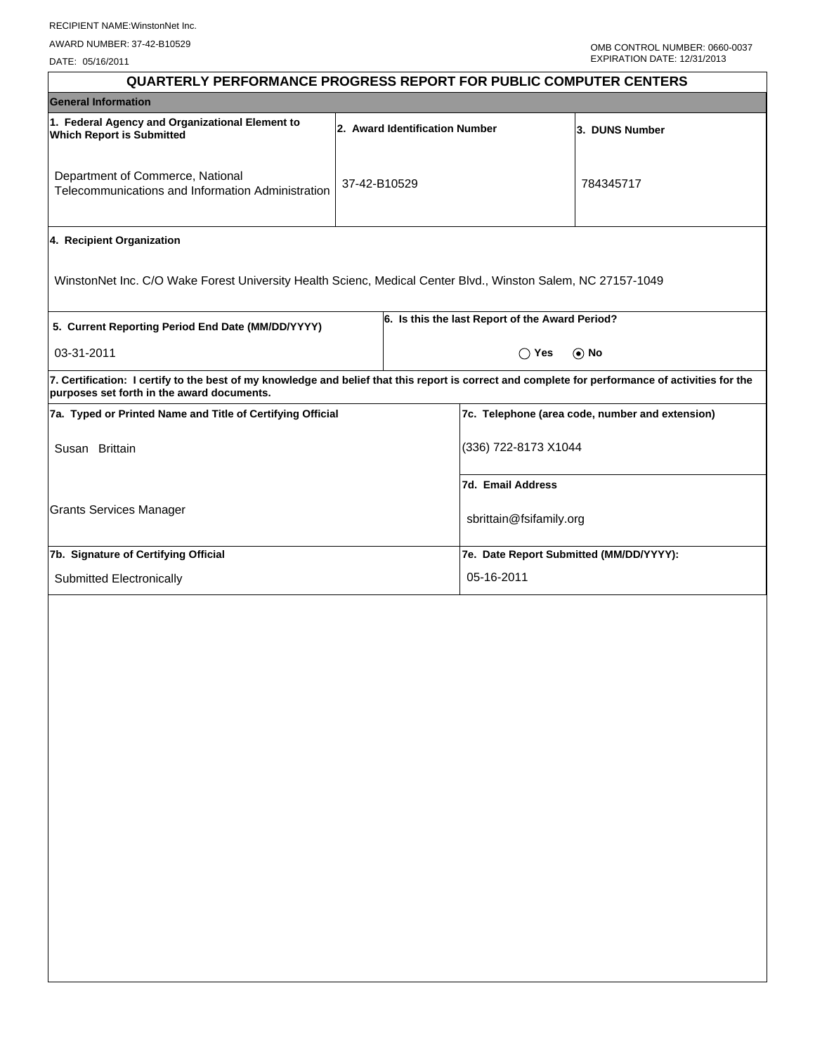DATE: 05/16/2011

| <b>QUARTERLY PERFORMANCE PROGRESS REPORT FOR PUBLIC COMPUTER CENTERS</b>                                                                                                                        |                                |                      |                                                 |                |  |  |
|-------------------------------------------------------------------------------------------------------------------------------------------------------------------------------------------------|--------------------------------|----------------------|-------------------------------------------------|----------------|--|--|
| <b>General Information</b>                                                                                                                                                                      |                                |                      |                                                 |                |  |  |
| 1. Federal Agency and Organizational Element to<br><b>Which Report is Submitted</b>                                                                                                             | 2. Award Identification Number |                      |                                                 | 3. DUNS Number |  |  |
| Department of Commerce, National<br>Telecommunications and Information Administration                                                                                                           | 37-42-B10529                   |                      |                                                 | 784345717      |  |  |
| 4. Recipient Organization                                                                                                                                                                       |                                |                      |                                                 |                |  |  |
| WinstonNet Inc. C/O Wake Forest University Health Scienc, Medical Center Blvd., Winston Salem, NC 27157-1049                                                                                    |                                |                      |                                                 |                |  |  |
| 5. Current Reporting Period End Date (MM/DD/YYYY)                                                                                                                                               |                                |                      | 6. Is this the last Report of the Award Period? |                |  |  |
| 03-31-2011                                                                                                                                                                                      |                                |                      | $\odot$ No<br>$()$ Yes                          |                |  |  |
| 7. Certification: I certify to the best of my knowledge and belief that this report is correct and complete for performance of activities for the<br>purposes set forth in the award documents. |                                |                      |                                                 |                |  |  |
| 7a. Typed or Printed Name and Title of Certifying Official                                                                                                                                      |                                |                      | 7c. Telephone (area code, number and extension) |                |  |  |
| Susan Brittain                                                                                                                                                                                  |                                | (336) 722-8173 X1044 |                                                 |                |  |  |
|                                                                                                                                                                                                 |                                |                      | 7d. Email Address                               |                |  |  |
| <b>Grants Services Manager</b>                                                                                                                                                                  |                                |                      | sbrittain@fsifamily.org                         |                |  |  |
| 7b. Signature of Certifying Official                                                                                                                                                            |                                |                      | 7e. Date Report Submitted (MM/DD/YYYY):         |                |  |  |
| Submitted Electronically                                                                                                                                                                        |                                |                      | 05-16-2011                                      |                |  |  |
|                                                                                                                                                                                                 |                                |                      |                                                 |                |  |  |
|                                                                                                                                                                                                 |                                |                      |                                                 |                |  |  |
|                                                                                                                                                                                                 |                                |                      |                                                 |                |  |  |
|                                                                                                                                                                                                 |                                |                      |                                                 |                |  |  |
|                                                                                                                                                                                                 |                                |                      |                                                 |                |  |  |
|                                                                                                                                                                                                 |                                |                      |                                                 |                |  |  |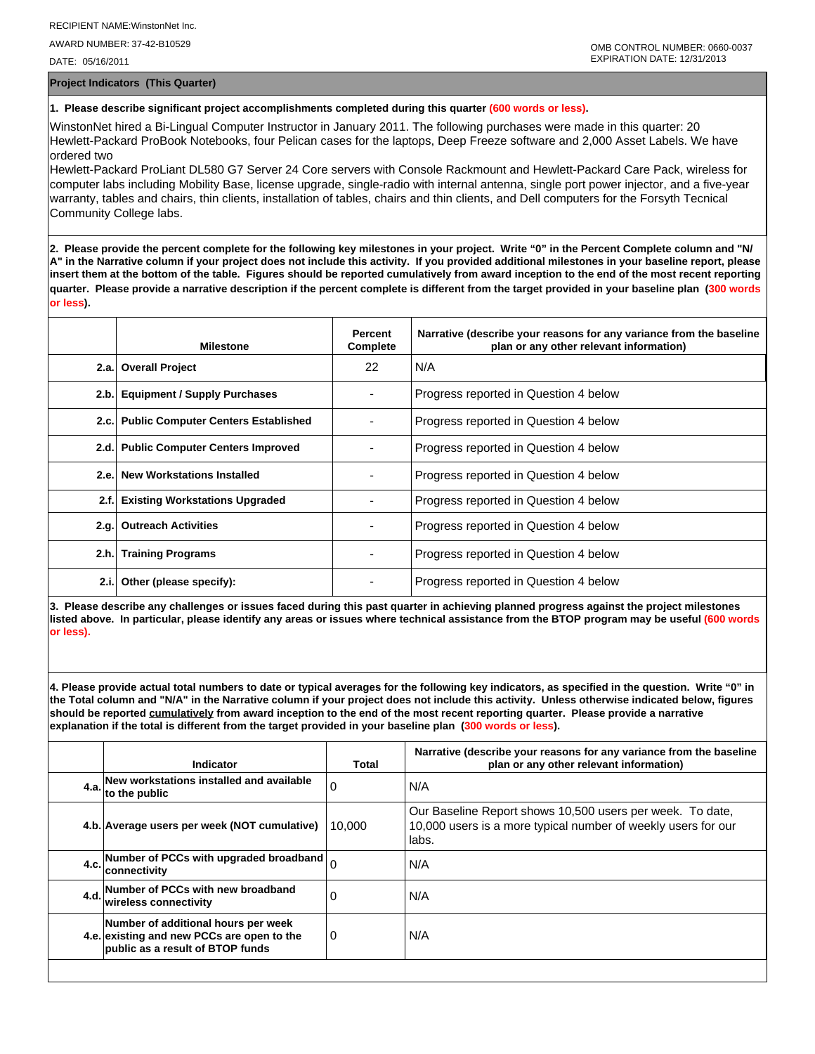AWARD NUMBER: 37-42-B10529

DATE: 05/16/2011

**Project Indicators (This Quarter)**

## **1. Please describe significant project accomplishments completed during this quarter (600 words or less).**

WinstonNet hired a Bi-Lingual Computer Instructor in January 2011. The following purchases were made in this quarter: 20 Hewlett-Packard ProBook Notebooks, four Pelican cases for the laptops, Deep Freeze software and 2,000 Asset Labels. We have ordered two

Hewlett-Packard ProLiant DL580 G7 Server 24 Core servers with Console Rackmount and Hewlett-Packard Care Pack, wireless for computer labs including Mobility Base, license upgrade, single-radio with internal antenna, single port power injector, and a five-year warranty, tables and chairs, thin clients, installation of tables, chairs and thin clients, and Dell computers for the Forsyth Tecnical Community College labs.

**2. Please provide the percent complete for the following key milestones in your project. Write "0" in the Percent Complete column and "N/ A" in the Narrative column if your project does not include this activity. If you provided additional milestones in your baseline report, please insert them at the bottom of the table. Figures should be reported cumulatively from award inception to the end of the most recent reporting quarter. Please provide a narrative description if the percent complete is different from the target provided in your baseline plan (300 words or less).**

|      | <b>Milestone</b>                         | Percent<br>Complete | Narrative (describe your reasons for any variance from the baseline<br>plan or any other relevant information) |
|------|------------------------------------------|---------------------|----------------------------------------------------------------------------------------------------------------|
|      | 2.a. Overall Project                     | 22                  | N/A                                                                                                            |
|      | 2.b. Equipment / Supply Purchases        |                     | Progress reported in Question 4 below                                                                          |
|      | 2.c. Public Computer Centers Established |                     | Progress reported in Question 4 below                                                                          |
|      | 2.d. Public Computer Centers Improved    |                     | Progress reported in Question 4 below                                                                          |
|      | 2.e. New Workstations Installed          |                     | Progress reported in Question 4 below                                                                          |
| 2.f. | <b>Existing Workstations Upgraded</b>    |                     | Progress reported in Question 4 below                                                                          |
|      | 2.g. Outreach Activities                 |                     | Progress reported in Question 4 below                                                                          |
|      | 2.h. Training Programs                   |                     | Progress reported in Question 4 below                                                                          |
| 2.i. | Other (please specify):                  |                     | Progress reported in Question 4 below                                                                          |

**3. Please describe any challenges or issues faced during this past quarter in achieving planned progress against the project milestones listed above. In particular, please identify any areas or issues where technical assistance from the BTOP program may be useful (600 words or less).**

**4. Please provide actual total numbers to date or typical averages for the following key indicators, as specified in the question. Write "0" in the Total column and "N/A" in the Narrative column if your project does not include this activity. Unless otherwise indicated below, figures should be reported cumulatively from award inception to the end of the most recent reporting quarter. Please provide a narrative explanation if the total is different from the target provided in your baseline plan (300 words or less).** 

| <b>Indicator</b>                                                                                                             | Total    | Narrative (describe your reasons for any variance from the baseline<br>plan or any other relevant information)                      |
|------------------------------------------------------------------------------------------------------------------------------|----------|-------------------------------------------------------------------------------------------------------------------------------------|
| New workstations installed and available<br>$4.a.$ to the public                                                             | 0        | N/A                                                                                                                                 |
| 4.b. Average users per week (NOT cumulative)                                                                                 | 10.000   | Our Baseline Report shows 10,500 users per week. To date,<br>10,000 users is a more typical number of weekly users for our<br>labs. |
| 4.c. Number of PCCs with upgraded broadband $\Big _0$<br><b>connectivity</b>                                                 |          | N/A                                                                                                                                 |
| 4.d. Number of PCCs with new broadband<br>wireless connectivity                                                              | 0        | N/A                                                                                                                                 |
| Number of additional hours per week<br>4.e. existing and new PCCs are open to the<br><b>public as a result of BTOP funds</b> | <b>0</b> | N/A                                                                                                                                 |
|                                                                                                                              |          |                                                                                                                                     |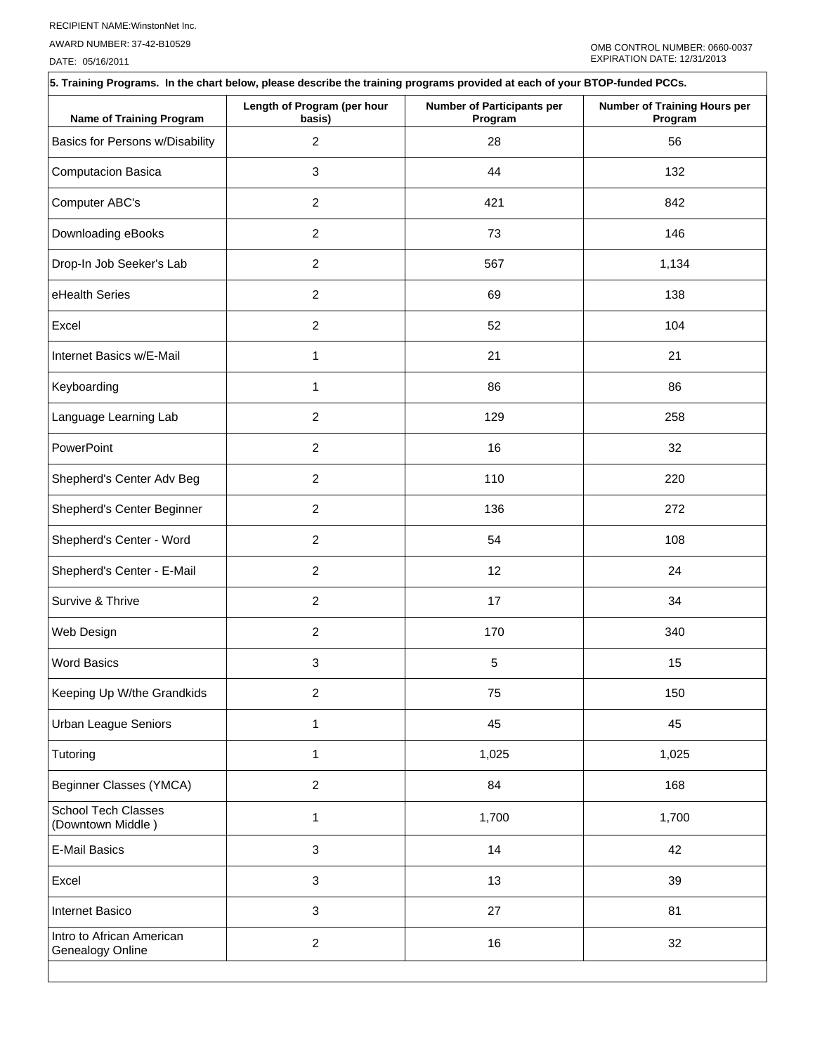AWARD NUMBER: 37-42-B10529

DATE: 05/16/2011

| 5. Training Programs. In the chart below, please describe the training programs provided at each of your BTOP-funded PCCs. |                                       |                                              |                                         |  |  |  |  |
|----------------------------------------------------------------------------------------------------------------------------|---------------------------------------|----------------------------------------------|-----------------------------------------|--|--|--|--|
| <b>Name of Training Program</b>                                                                                            | Length of Program (per hour<br>basis) | <b>Number of Participants per</b><br>Program | Number of Training Hours per<br>Program |  |  |  |  |
| Basics for Persons w/Disability                                                                                            | $\overline{2}$                        | 28                                           | 56                                      |  |  |  |  |
| Computacion Basica                                                                                                         | 3                                     | 44                                           | 132                                     |  |  |  |  |
| Computer ABC's                                                                                                             | $\overline{c}$                        | 421                                          | 842                                     |  |  |  |  |
| Downloading eBooks                                                                                                         | $\overline{c}$                        | 73                                           | 146                                     |  |  |  |  |
| Drop-In Job Seeker's Lab                                                                                                   | $\overline{2}$                        | 567                                          | 1,134                                   |  |  |  |  |
| eHealth Series                                                                                                             | $\overline{c}$                        | 69                                           | 138                                     |  |  |  |  |
| Excel                                                                                                                      | $\overline{c}$                        | 52                                           | 104                                     |  |  |  |  |
| Internet Basics w/E-Mail                                                                                                   | 1                                     | 21                                           | 21                                      |  |  |  |  |
| Keyboarding                                                                                                                | 1                                     | 86                                           | 86                                      |  |  |  |  |
| Language Learning Lab                                                                                                      | $\overline{c}$                        | 129                                          | 258                                     |  |  |  |  |
| PowerPoint                                                                                                                 | $\overline{2}$                        | 16                                           | 32                                      |  |  |  |  |
| Shepherd's Center Adv Beg                                                                                                  | $\overline{2}$                        | 110                                          | 220                                     |  |  |  |  |
| Shepherd's Center Beginner                                                                                                 | $\overline{c}$                        | 136                                          | 272                                     |  |  |  |  |
| Shepherd's Center - Word                                                                                                   | $\overline{c}$                        | 54                                           | 108                                     |  |  |  |  |
| Shepherd's Center - E-Mail                                                                                                 | $\overline{2}$                        | 12                                           | 24                                      |  |  |  |  |
| Survive & Thrive                                                                                                           | $\overline{c}$                        | 17                                           | 34                                      |  |  |  |  |
| Web Design                                                                                                                 | $\overline{2}$                        | 170                                          | 340                                     |  |  |  |  |
| <b>Word Basics</b>                                                                                                         | 3                                     | 5                                            | 15                                      |  |  |  |  |
| Keeping Up W/the Grandkids                                                                                                 | $\overline{2}$                        | 75                                           | 150                                     |  |  |  |  |
| Urban League Seniors                                                                                                       | 1                                     | 45                                           | 45                                      |  |  |  |  |
| Tutoring                                                                                                                   | $\mathbf{1}$                          | 1,025                                        | 1,025                                   |  |  |  |  |
| Beginner Classes (YMCA)                                                                                                    | $\overline{c}$                        | 84                                           | 168                                     |  |  |  |  |
| School Tech Classes<br>(Downtown Middle)                                                                                   | 1                                     | 1,700                                        | 1,700                                   |  |  |  |  |
| <b>E-Mail Basics</b>                                                                                                       | 3                                     | 14                                           | 42                                      |  |  |  |  |
| Excel                                                                                                                      | 3                                     | 13                                           | 39                                      |  |  |  |  |
| Internet Basico                                                                                                            | 3                                     | 27                                           | 81                                      |  |  |  |  |
| Intro to African American<br>Genealogy Online                                                                              | $\overline{c}$                        | 16                                           | 32                                      |  |  |  |  |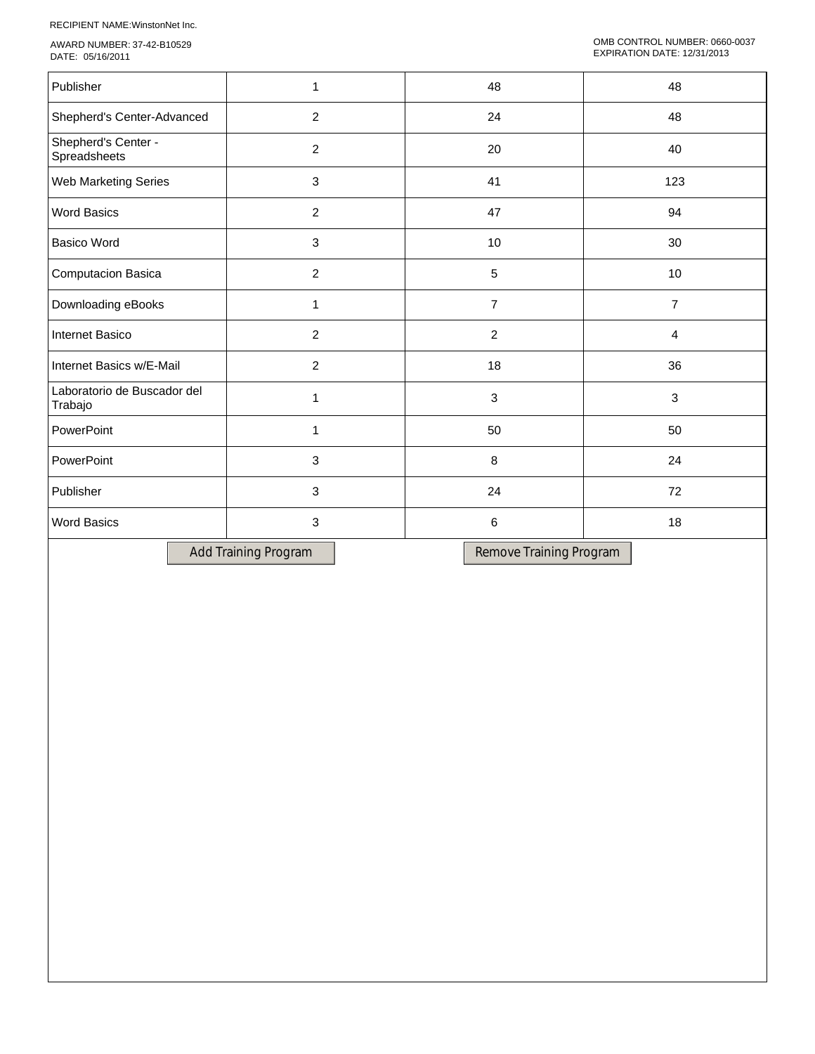RECIPIENT NAME:WinstonNet Inc.

AWARD NUMBER: 37-42-B10529 DATE: 05/16/2011

| Publisher                              | 1              | 48             | 48  |
|----------------------------------------|----------------|----------------|-----|
| Shepherd's Center-Advanced             | $\overline{2}$ | 24             | 48  |
| Shepherd's Center -<br>Spreadsheets    | $\overline{c}$ | 20             | 40  |
| Web Marketing Series                   | 3              | 41             | 123 |
| <b>Word Basics</b>                     | $\overline{2}$ | 47             | 94  |
| <b>Basico Word</b>                     | 3              | 10             | 30  |
| Computacion Basica                     | $\overline{2}$ | $\sqrt{5}$     | 10  |
| Downloading eBooks                     | 1              | $\overline{7}$ | 7   |
| Internet Basico                        | $\overline{c}$ | $\overline{2}$ | 4   |
| Internet Basics w/E-Mail               | $\overline{c}$ | 18             | 36  |
| Laboratorio de Buscador del<br>Trabajo | 1              | $\sqrt{3}$     | 3   |
| PowerPoint                             |                | 50             | 50  |
| PowerPoint                             | 3              | 8              | 24  |
| Publisher                              | 3              | 24             | 72  |
| <b>Word Basics</b>                     | 3              | 6              | 18  |
|                                        |                |                |     |

Add Training Program Remove Training Program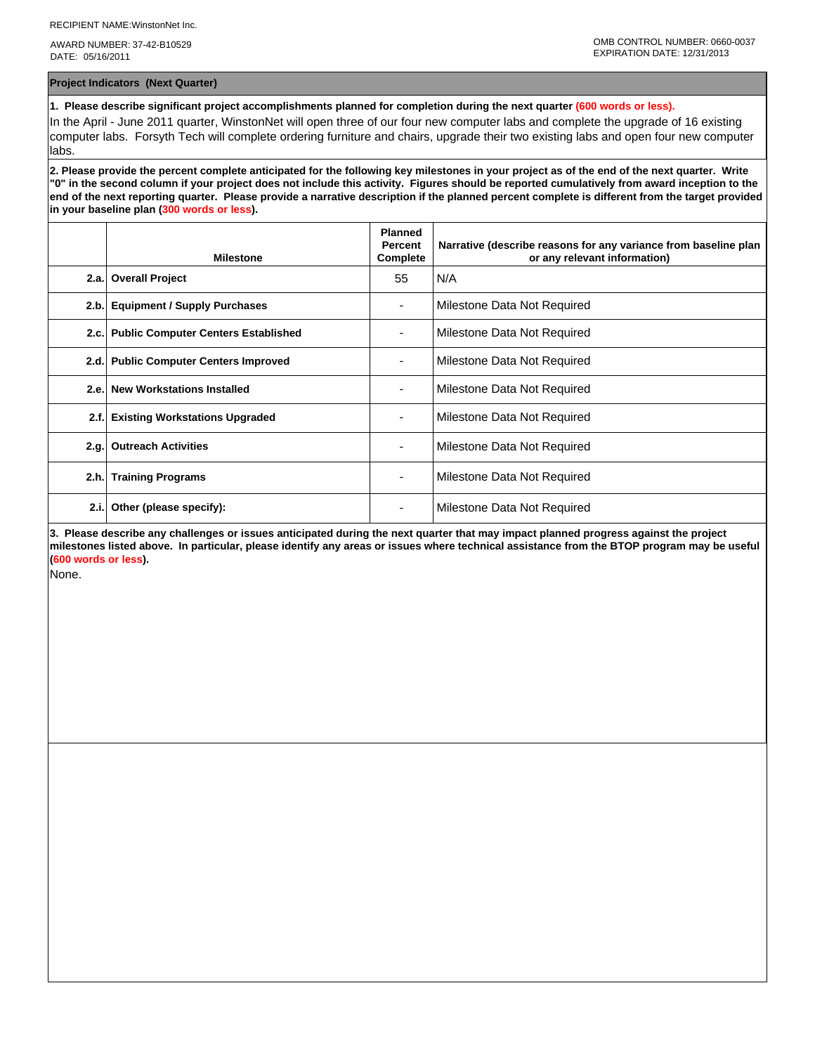AWARD NUMBER: 37-42-B10529 DATE: 05/16/2011

**Project Indicators (Next Quarter)**

**1. Please describe significant project accomplishments planned for completion during the next quarter (600 words or less).**

In the April - June 2011 quarter, WinstonNet will open three of our four new computer labs and complete the upgrade of 16 existing computer labs. Forsyth Tech will complete ordering furniture and chairs, upgrade their two existing labs and open four new computer labs.

**2. Please provide the percent complete anticipated for the following key milestones in your project as of the end of the next quarter. Write "0" in the second column if your project does not include this activity. Figures should be reported cumulatively from award inception to the end of the next reporting quarter. Please provide a narrative description if the planned percent complete is different from the target provided in your baseline plan (300 words or less).**

|      | <b>Milestone</b>                         | <b>Planned</b><br>Percent<br>Complete | Narrative (describe reasons for any variance from baseline plan<br>or any relevant information) |
|------|------------------------------------------|---------------------------------------|-------------------------------------------------------------------------------------------------|
| 2.a. | <b>Overall Project</b>                   | 55                                    | N/A                                                                                             |
| 2.b. | <b>Equipment / Supply Purchases</b>      |                                       | Milestone Data Not Required                                                                     |
|      | 2.c. Public Computer Centers Established |                                       | Milestone Data Not Required                                                                     |
|      | 2.d. Public Computer Centers Improved    |                                       | Milestone Data Not Required                                                                     |
|      | 2.e. New Workstations Installed          |                                       | Milestone Data Not Required                                                                     |
| 2.f. | <b>Existing Workstations Upgraded</b>    |                                       | Milestone Data Not Required                                                                     |
| 2.q. | <b>Outreach Activities</b>               |                                       | Milestone Data Not Required                                                                     |
| 2.h. | <b>Training Programs</b>                 | ۰.                                    | Milestone Data Not Required                                                                     |
| 2.i. | Other (please specify):                  | ۰                                     | Milestone Data Not Required                                                                     |

**3. Please describe any challenges or issues anticipated during the next quarter that may impact planned progress against the project milestones listed above. In particular, please identify any areas or issues where technical assistance from the BTOP program may be useful (600 words or less).**

None.